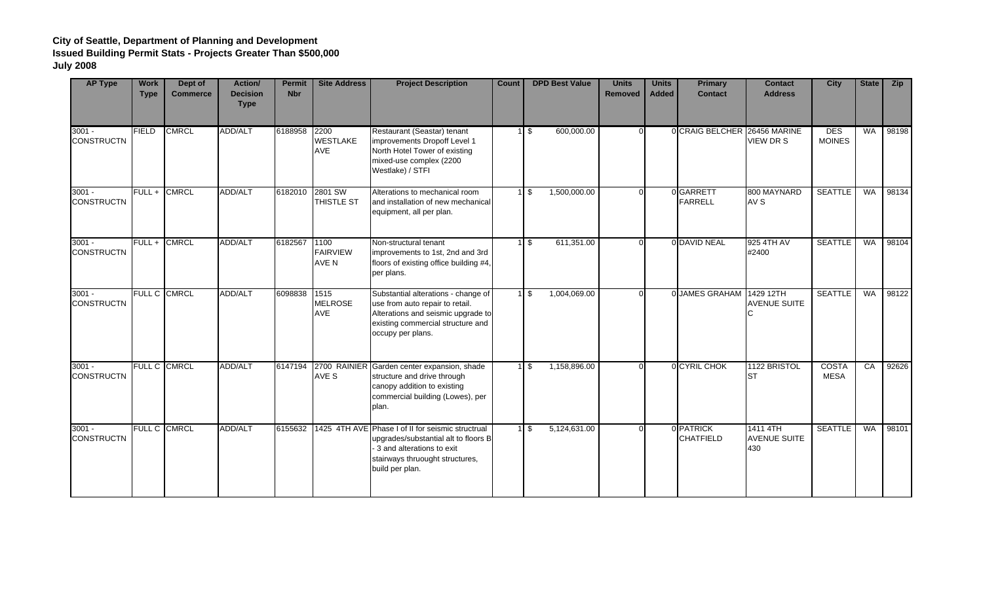| <b>AP Type</b>                | <b>Work</b><br><b>Type</b> | Dept of<br><b>Commerce</b> | Action/<br><b>Decision</b><br><b>Type</b> | <b>Permit</b><br><b>Nbr</b> | <b>Site Address</b>              | <b>Project Description</b>                                                                                                                                                           | Count | <b>DPD Best Value</b>           | <b>Units</b><br><b>Removed</b> | <b>Units</b><br><b>Added</b> | <b>Primary</b><br><b>Contact</b> | <b>Contact</b><br><b>Address</b>       | <b>City</b>                 | <b>State</b> | Zip   |
|-------------------------------|----------------------------|----------------------------|-------------------------------------------|-----------------------------|----------------------------------|--------------------------------------------------------------------------------------------------------------------------------------------------------------------------------------|-------|---------------------------------|--------------------------------|------------------------------|----------------------------------|----------------------------------------|-----------------------------|--------------|-------|
| $3001 -$<br><b>CONSTRUCTN</b> | <b>FIELD</b>               | <b>CMRCL</b>               | <b>ADD/ALT</b>                            | 6188958                     | 2200<br><b>WESTLAKE</b><br>AVE   | Restaurant (Seastar) tenant<br>improvements Dropoff Level 1<br>North Hotel Tower of existing<br>mixed-use complex (2200<br>Westlake) / STFI                                          |       | 600,000.00<br>1 <sup>5</sup>    |                                |                              | 0 CRAIG BELCHER 26456 MARINE     | VIEW DR S                              | <b>DES</b><br><b>MOINES</b> | WA           | 98198 |
| $3001 -$<br><b>CONSTRUCTN</b> | $FULL +$                   | <b>CMRCL</b>               | ADD/ALT                                   |                             | 6182010 2801 SW<br>THISTLE ST    | Alterations to mechanical room<br>and installation of new mechanical<br>equipment, all per plan.                                                                                     |       | 1,500,000.00<br>1 \$            |                                |                              | 0GARRETT<br><b>FARRELL</b>       | 800 MAYNARD<br>AV S                    | <b>SEATTLE</b>              | <b>WA</b>    | 98134 |
| $3001 -$<br><b>CONSTRUCTN</b> | $FULL +$                   | <b>CMRCL</b>               | ADD/ALT                                   | 6182567                     | 1100<br><b>FAIRVIEW</b><br>AVE N | Non-structural tenant<br>improvements to 1st, 2nd and 3rd<br>floors of existing office building #4,<br>per plans.                                                                    |       | $1 \overline{\$}$<br>611,351.00 |                                |                              | 0 DAVID NEAL                     | 925 4TH AV<br>#2400                    | <b>SEATTLE</b>              | WA           | 98104 |
| $3001 -$<br><b>CONSTRUCTN</b> |                            | FULL C CMRCL               | ADD/ALT                                   | 6098838                     | 1515<br><b>MELROSE</b><br>AVE    | Substantial alterations - change of<br>use from auto repair to retail.<br>Alterations and seismic upgrade to<br>existing commercial structure and<br>occupy per plans.               |       | 1 \$<br>1,004,069.00            |                                |                              | 0 JAMES GRAHAM                   | 1429 12TH<br><b>AVENUE SUITE</b>       | <b>SEATTLE</b>              | <b>WA</b>    | 98122 |
| $3001 -$<br><b>CONSTRUCTN</b> |                            | <b>FULL C CMRCL</b>        | ADD/ALT                                   | 6147194                     | AVE S                            | 2700 RAINIER Garden center expansion, shade<br>structure and drive through<br>canopy addition to existing<br>commercial building (Lowes), per<br>plan.                               |       | $1\sqrt{3}$<br>1,158,896.00     |                                |                              | 0 CYRIL CHOK                     | 1122 BRISTOL<br><b>ST</b>              | COSTA<br><b>MESA</b>        | CA           | 92626 |
| $3001 -$<br><b>CONSTRUCTN</b> |                            | FULL C CMRCL               | <b>ADD/ALT</b>                            |                             |                                  | 6155632 1425 4TH AVE Phase I of II for seismic structrual<br>upgrades/substantial alt to floors B<br>3 and alterations to exit<br>stairways thruought structures,<br>build per plan. |       | 5,124,631.00<br>1 \$            |                                |                              | 0 PATRICK<br><b>CHATFIELD</b>    | 1411 4TH<br><b>AVENUE SUITE</b><br>430 | <b>SEATTLE</b>              | <b>WA</b>    | 98101 |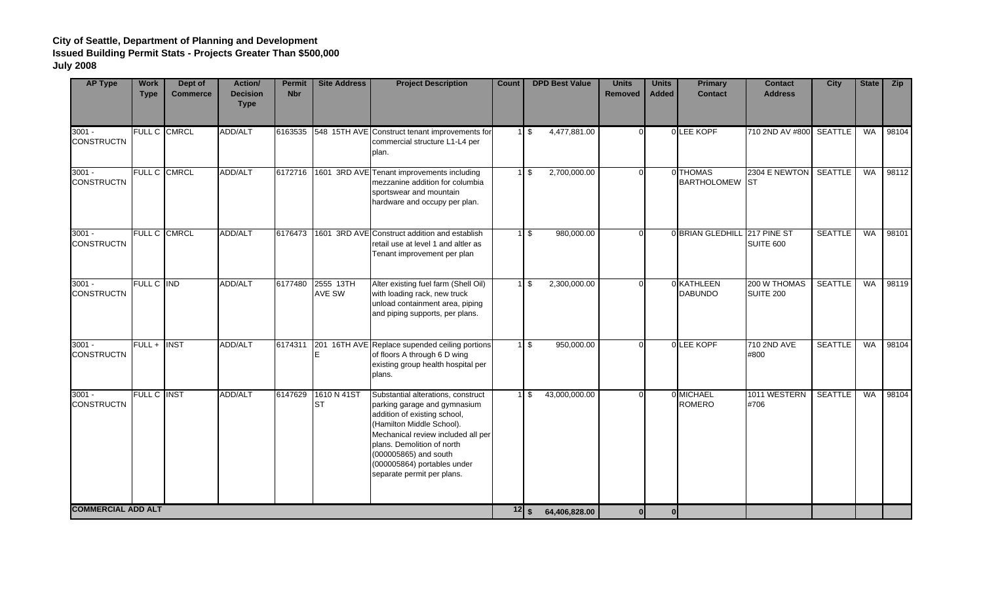| <b>AP Type</b>                | <b>Work</b><br><b>Type</b> | Dept of<br><b>Commerce</b> | Action/<br><b>Decision</b><br><b>Type</b> | <b>Permit</b><br><b>Nbr</b> | <b>Site Address</b>                | <b>Project Description</b>                                                                                                                                                                                                                                                                | <b>Count</b>                    | <b>DPD Best Value</b>                    | <b>Units</b><br><b>Removed</b> | <b>Units</b><br><b>Added</b> | <b>Primary</b><br><b>Contact</b> | <b>Contact</b><br><b>Address</b> | <b>City</b>    | <b>State</b> | Zip   |
|-------------------------------|----------------------------|----------------------------|-------------------------------------------|-----------------------------|------------------------------------|-------------------------------------------------------------------------------------------------------------------------------------------------------------------------------------------------------------------------------------------------------------------------------------------|---------------------------------|------------------------------------------|--------------------------------|------------------------------|----------------------------------|----------------------------------|----------------|--------------|-------|
| $3001 -$<br><b>CONSTRUCTN</b> |                            | FULL C CMRCL               | ADD/ALT                                   |                             |                                    | 6163535 548 15TH AVE Construct tenant improvements for<br>commercial structure L1-L4 per<br>plan.                                                                                                                                                                                         |                                 | 4,477,881.00<br>1 \$                     | $\Omega$                       |                              | 0 LEE KOPF                       | 710 2ND AV #800 SEATTLE          |                | WA           | 98104 |
| $3001 -$<br><b>CONSTRUCTN</b> |                            | FULL C CMRCL               | <b>ADD/ALT</b>                            |                             |                                    | 6172716 1601 3RD AVE Tenant improvements including<br>mezzanine addition for columbia<br>sportswear and mountain<br>hardware and occupy per plan.                                                                                                                                         |                                 | 2,700,000.00<br>1 \$                     | $\Omega$                       |                              | 0 THOMAS<br><b>BARTHOLOMEW</b>   | 2304 E NEWTON SEATTLE<br>Ist     |                | WA           | 98112 |
| $3001 -$<br><b>CONSTRUCTN</b> |                            | FULL C CMRCL               | ADD/ALT                                   |                             |                                    | 6176473 1601 3RD AVE Construct addition and establish<br>retail use at level 1 and altler as<br>Tenant improvement per plan                                                                                                                                                               |                                 | $1 \text{ }$ \$<br>980,000.00            | $\Omega$                       |                              | 0 BRIAN GLEDHILL 217 PINE ST     | SUITE 600                        | <b>SEATTLE</b> | WA           | 98101 |
| $3001 -$<br><b>CONSTRUCTN</b> | FULL C IND                 |                            | <b>ADD/ALT</b>                            | 6177480                     | 2555 13TH<br><b>AVE SW</b>         | Alter existing fuel farm (Shell Oil)<br>with loading rack, new truck<br>unload containment area, piping<br>and piping supports, per plans.                                                                                                                                                |                                 | $1 \text{ }$ \$<br>2,300,000.00          | $\Omega$                       |                              | 0 KATHLEEN<br><b>DABUNDO</b>     | 200 W THOMAS<br>SUITE 200        | <b>SEATTLE</b> | WA           | 98119 |
| $3001 -$<br><b>CONSTRUCTN</b> | FULL + INST                |                            | <b>ADD/ALT</b>                            |                             |                                    | 6174311 201 16TH AVE Replace supended ceiling portions<br>of floors A through 6 D wing<br>existing group health hospital per<br>plans.                                                                                                                                                    |                                 | 1 <sup>5</sup><br>950,000.00             | $\Omega$                       |                              | 0 LEE KOPF                       | 710 2ND AVE<br>#800              | <b>SEATTLE</b> | <b>WA</b>    | 98104 |
| $3001 -$<br><b>CONSTRUCTN</b> | <b>FULL C INST</b>         |                            | <b>ADD/ALT</b>                            |                             | 6147629 1610 N 41ST<br><b>I</b> ST | Substantial alterations, construct<br>parking garage and gymnasium<br>addition of existing school,<br>(Hamilton Middle School).<br>Mechanical review included all per<br>plans. Demolition of north<br>(000005865) and south<br>(000005864) portables under<br>separate permit per plans. |                                 | $1 \overline{\sqrt{3}}$<br>43,000,000.00 | $\Omega$                       |                              | 0 MICHAEL<br><b>ROMERO</b>       | 1011 WESTERN<br>#706             | <b>SEATTLE</b> | <b>WA</b>    | 98104 |
| <b>COMMERCIAL ADD ALT</b>     |                            |                            |                                           |                             |                                    |                                                                                                                                                                                                                                                                                           | $\overline{12}$ $\overline{\ }$ | 64,406,828.00                            |                                | $\Omega$                     |                                  |                                  |                |              |       |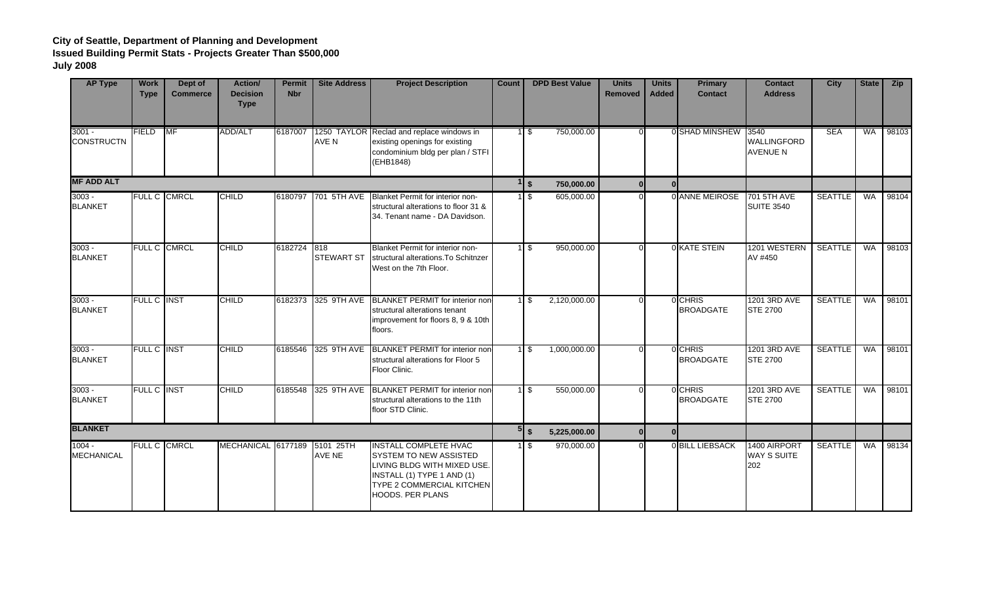| <b>AP Type</b>                | <b>Work</b><br><b>Type</b> | Dept of<br><b>Commerce</b> | <b>Action/</b><br><b>Decision</b><br><b>Type</b> | Permit<br><b>Nbr</b> | <b>Site Address</b> | <b>Project Description</b>                                                                                                                                                                | <b>Count</b> | <b>DPD Best Value</b>                    | <b>Units</b><br><b>Removed</b> | <b>Units</b><br><b>Added</b> | <b>Primary</b><br><b>Contact</b> | <b>Contact</b><br><b>Address</b>          | <b>City</b>    | <b>State</b> | <b>Zip</b> |
|-------------------------------|----------------------------|----------------------------|--------------------------------------------------|----------------------|---------------------|-------------------------------------------------------------------------------------------------------------------------------------------------------------------------------------------|--------------|------------------------------------------|--------------------------------|------------------------------|----------------------------------|-------------------------------------------|----------------|--------------|------------|
| $3001 -$<br><b>CONSTRUCTN</b> | <b>FIELD</b>               | MF                         | <b>ADD/ALT</b>                                   | 6187007              | <b>AVE N</b>        | 1250 TAYLOR Reclad and replace windows in<br>existing openings for existing<br>condominium bldg per plan / STFI<br>(EHB1848)                                                              |              | 750,000.00<br>$1 \overline{\ }$ \$       |                                |                              | 0 SHAD MINSHEW 3540              | <b>WALLINGFORD</b><br><b>AVENUE N</b>     | <b>SEA</b>     | WA           | 98103      |
| <b>MF ADD ALT</b>             |                            |                            |                                                  |                      |                     |                                                                                                                                                                                           |              | $1 \, \text{s}$<br>750,000.00            | $\Omega$                       | $\Omega$                     |                                  |                                           |                |              |            |
| $3003 -$<br><b>BLANKET</b>    |                            | <b>FULL C CMRCL</b>        | <b>CHILD</b>                                     |                      | 6180797 701 5TH AVE | Blanket Permit for interior non-<br>structural alterations to floor 31 &<br>34. Tenant name - DA Davidson.                                                                                |              | 605,000.00<br>$1 \,$ S                   |                                |                              | 0 ANNE MEIROSE                   | <b>701 5TH AVE</b><br><b>SUITE 3540</b>   | <b>SEATTLE</b> | <b>WA</b>    | 98104      |
| $3003 -$<br><b>BLANKET</b>    |                            | <b>FULL C CMRCL</b>        | <b>CHILD</b>                                     | 6182724 818          | <b>STEWART ST</b>   | Blanket Permit for interior non-<br>structural alterations. To Schitnzer<br>West on the 7th Floor.                                                                                        |              | 950,000.00<br>$1 \overline{\phantom{a}}$ |                                |                              | OKATE STEIN                      | 1201 WESTERN<br>AV #450                   | <b>SEATTLE</b> | <b>WA</b>    | 98103      |
| $3003 -$<br><b>BLANKET</b>    | FULL C INST                |                            | <b>CHILD</b>                                     |                      | 6182373 325 9TH AVE | BLANKET PERMIT for interior non<br>structural alterations tenant<br>improvement for floors 8, 9 & 10th<br>floors.                                                                         |              | 2,120,000.00<br>$1 \,$ S                 |                                |                              | 0 CHRIS<br><b>BROADGATE</b>      | 1201 3RD AVE<br><b>STE 2700</b>           | <b>SEATTLE</b> | <b>WA</b>    | 98101      |
| $3003 -$<br><b>BLANKET</b>    | <b>FULL C INST</b>         |                            | <b>CHILD</b>                                     |                      |                     | 6185546 325 9TH AVE BLANKET PERMIT for interior non<br>structural alterations for Floor 5<br>Floor Clinic.                                                                                |              | 1,000,000.00<br>1 <sup>5</sup>           |                                |                              | 0 CHRIS<br><b>BROADGATE</b>      | 1201 3RD AVE<br><b>STE 2700</b>           | <b>SEATTLE</b> | WA           | 98101      |
| $3003 -$<br><b>BLANKET</b>    | <b>FULL C INST</b>         |                            | <b>CHILD</b>                                     |                      |                     | 6185548 325 9TH AVE BLANKET PERMIT for interior non<br>structural alterations to the 11th<br>floor STD Clinic.                                                                            |              | 1 \$<br>550,000.00                       |                                |                              | 0 CHRIS<br><b>BROADGATE</b>      | 1201 3RD AVE<br><b>STE 2700</b>           | <b>SEATTLE</b> | WA           | 98101      |
| <b>BLANKET</b>                |                            |                            |                                                  |                      |                     |                                                                                                                                                                                           |              |                                          | 5,225,000.00<br>0I             | $\Omega$                     |                                  |                                           |                |              |            |
| $1004 -$<br><b>MECHANICAL</b> | <b>FULL C CMRCL</b>        |                            | MECHANICAL 6177189                               |                      | 5101 25TH<br>AVE NE | <b>INSTALL COMPLETE HVAC</b><br><b>SYSTEM TO NEW ASSISTED</b><br>LIVING BLDG WITH MIXED USE.<br>INSTALL (1) TYPE 1 AND (1)<br><b>TYPE 2 COMMERCIAL KITCHEN</b><br><b>HOODS. PER PLANS</b> |              | 970,000.00<br>$1 \,$ S                   |                                |                              | <b>OBILL LIEBSACK</b>            | 1400 AIRPORT<br><b>WAY S SUITE</b><br>202 | <b>SEATTLE</b> | <b>WA</b>    | 98134      |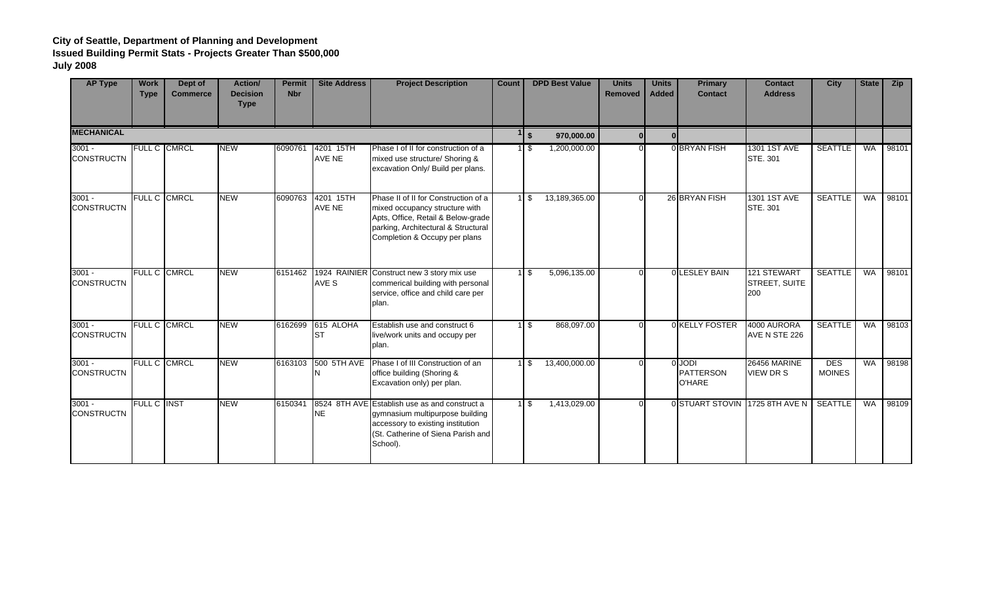| <b>AP Type</b>                | <b>Work</b><br><b>Type</b> | Dept of<br><b>Commerce</b> | Action/<br><b>Decision</b><br><b>Type</b> | <b>Permit</b><br><b>Nbr</b> | <b>Site Address</b>        | <b>Project Description</b>                                                                                                                                                           | Count |                      | <b>DPD Best Value</b> | <b>Units</b><br>Removed | <b>Units</b><br><b>Added</b> | <b>Primary</b><br><b>Contact</b>                   | <b>Contact</b><br><b>Address</b>    | <b>City</b>                 | <b>State</b> | <b>Zip</b> |
|-------------------------------|----------------------------|----------------------------|-------------------------------------------|-----------------------------|----------------------------|--------------------------------------------------------------------------------------------------------------------------------------------------------------------------------------|-------|----------------------|-----------------------|-------------------------|------------------------------|----------------------------------------------------|-------------------------------------|-----------------------------|--------------|------------|
| <b>MECHANICAL</b>             |                            |                            |                                           |                             |                            |                                                                                                                                                                                      |       | $\sqrt{5}$           | 970,000.00            | $\Omega$                |                              |                                                    |                                     |                             |              |            |
| $3001 -$<br><b>CONSTRUCTN</b> | <b>FULL C CMRCL</b>        |                            | <b>NEW</b>                                | 6090761                     | 4201 15TH<br>AVE NE        | Phase I of II for construction of a<br>mixed use structure/ Shoring &<br>excavation Only/ Build per plans.                                                                           |       | $1 \overline{\ }$ \$ | 1,200,000.00          |                         |                              | <b>OBRYAN FISH</b>                                 | 1301 1ST AVE<br><b>STE. 301</b>     | <b>SEATTLE</b>              | <b>WA</b>    | 98101      |
| $3001 -$<br><b>CONSTRUCTN</b> | FULL C CMRCL               |                            | <b>NEW</b>                                | 6090763                     | 4201 15TH<br><b>AVE NE</b> | Phase II of II for Construction of a<br>mixed occupancy structure with<br>Apts, Office, Retail & Below-grade<br>parking, Architectural & Structural<br>Completion & Occupy per plans |       | 1 \$                 | 13,189,365.00         |                         |                              | 26 BRYAN FISH                                      | 1301 1ST AVE<br>STE. 301            | <b>SEATTLE</b>              | <b>WA</b>    | 98101      |
| $3001 -$<br><b>CONSTRUCTN</b> | <b>FULL C CMRCL</b>        |                            | <b>NEW</b>                                |                             | AVE S                      | 6151462 1924 RAINIER Construct new 3 story mix use<br>commerical building with personal<br>service, office and child care per<br>plan.                                               |       | $1 \text{ }$ \$      | 5,096,135.00          |                         |                              | 0 LESLEY BAIN                                      | 121 STEWART<br>STREET, SUITE<br>200 | <b>SEATTLE</b>              | <b>WA</b>    | 98101      |
| $3001 -$<br><b>CONSTRUCTN</b> | <b>FULL C CMRCL</b>        |                            | <b>NEW</b>                                |                             | 6162699 615 ALOHA<br>Ist   | Establish use and construct 6<br>live/work units and occupy per<br>plan.                                                                                                             |       | $1 \text{ s}$        | 868,097.00            |                         |                              | 0 KELLY FOSTER                                     | 4000 AURORA<br>AVE N STE 226        | <b>SEATTLE</b>              | <b>WA</b>    | 98103      |
| $3001 -$<br><b>CONSTRUCTN</b> | FULL C CMRCL               |                            | <b>NEW</b>                                |                             | 6163103 500 5TH AVE<br>IN  | Phase I of III Construction of an<br>office building (Shoring &<br>Excavation only) per plan.                                                                                        |       | $1 \text{ s}$        | 13,400,000.00         |                         |                              | <b>O</b> JODI<br><b>PATTERSON</b><br><b>O'HARE</b> | <b>26456 MARINE</b><br>VIEW DR S    | <b>DES</b><br><b>MOINES</b> | WA           | 98198      |
| $3001 -$<br><b>CONSTRUCTN</b> | <b>FULL C INST</b>         |                            | <b>NEW</b>                                | 6150341                     | <b>NE</b>                  | 8524 8TH AVE Establish use as and construct a<br>gymnasium multipurpose building<br>accessory to existing institution<br>(St. Catherine of Siena Parish and<br>School).              |       | 1 \$                 | 1,413,029.00          |                         |                              |                                                    | 0 STUART STOVIN 1725 8TH AVE N      | <b>SEATTLE</b>              | <b>WA</b>    | 98109      |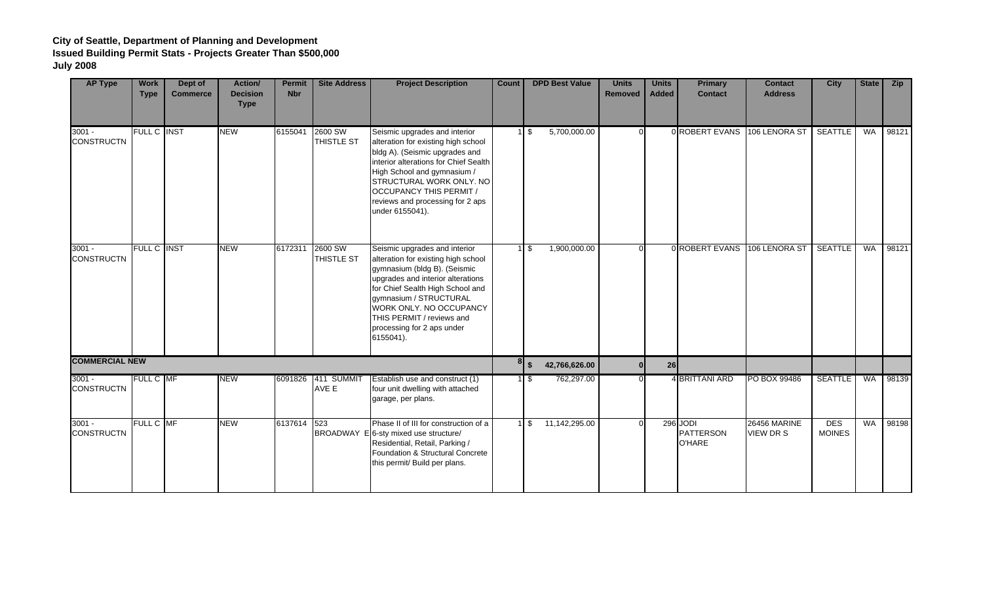| <b>AP Type</b>                | <b>Work</b><br><b>Type</b> | Dept of<br><b>Commerce</b> | <b>Action/</b><br><b>Decision</b><br><b>Type</b> | <b>Permit</b><br><b>Nbr</b> | <b>Site Address</b>          | <b>Project Description</b>                                                                                                                                                                                                                                                                                 | <b>Count</b> | <b>DPD Best Value</b>                   | <b>Units</b><br><b>Removed</b> | <b>Units</b><br><b>Added</b> | <b>Primary</b><br><b>Contact</b>              | <b>Contact</b><br><b>Address</b> | <b>City</b>                 | <b>State</b> | <b>Zip</b> |
|-------------------------------|----------------------------|----------------------------|--------------------------------------------------|-----------------------------|------------------------------|------------------------------------------------------------------------------------------------------------------------------------------------------------------------------------------------------------------------------------------------------------------------------------------------------------|--------------|-----------------------------------------|--------------------------------|------------------------------|-----------------------------------------------|----------------------------------|-----------------------------|--------------|------------|
| $3001 -$<br><b>CONSTRUCTN</b> | FULL C INST                |                            | <b>NEW</b>                                       | 6155041                     | 2600 SW<br><b>THISTLE ST</b> | Seismic upgrades and interior<br>alteration for existing high school<br>bldg A). (Seismic upgrades and<br>interior alterations for Chief Sealth<br>High School and gymnasium /<br>STRUCTURAL WORK ONLY. NO<br><b>OCCUPANCY THIS PERMIT /</b><br>reviews and processing for 2 aps<br>under 6155041).        |              | 5,700,000.00<br>$1$ \$                  | $\Omega$                       |                              | 0 ROBERT EVANS                                | 106 LENORA ST                    | <b>SEATTLE</b>              | WA           | 98121      |
| $3001 -$<br><b>CONSTRUCTN</b> | <b>FULL C INST</b>         |                            | <b>NEW</b>                                       | 6172311                     | 2600 SW<br><b>THISTLE ST</b> | Seismic upgrades and interior<br>alteration for existing high school<br>gymnasium (bldg B). (Seismic<br>upgrades and interior alterations<br>for Chief Sealth High School and<br>gymnasium / STRUCTURAL<br>WORK ONLY. NO OCCUPANCY<br>THIS PERMIT / reviews and<br>processing for 2 aps under<br>6155041). |              | 1,900,000.00<br>$1 \overline{\sqrt{3}}$ | $\Omega$                       |                              | 0 ROBERT EVANS                                | 106 LENORA ST                    | <b>SEATTLE</b>              | <b>WA</b>    | 98121      |
| <b>COMMERCIAL NEW</b>         |                            |                            |                                                  |                             |                              |                                                                                                                                                                                                                                                                                                            |              | $8 \frac{1}{5}$<br>42,766,626.00        |                                | 26                           |                                               |                                  |                             |              |            |
| $3001 -$<br><b>CONSTRUCTN</b> | FULL C MF                  |                            | <b>NEW</b>                                       | 6091826                     | 411 SUMMIT<br>AVE E          | Establish use and construct (1)<br>four unit dwelling with attached<br>garage, per plans.                                                                                                                                                                                                                  |              | 762,297.00<br>$1 \overline{\text{S}}$   |                                |                              | 4 BRITTANI ARD                                | PO BOX 99486                     | <b>SEATTLE</b>              | WA           | 98139      |
| $3001 -$<br><b>CONSTRUCTN</b> | FULL C MF                  |                            | <b>NEW</b>                                       | 6137614                     | 523                          | Phase II of III for construction of a<br>BROADWAY E 6-sty mixed use structure/<br>Residential, Retail, Parking /<br>Foundation & Structural Concrete<br>this permit/ Build per plans.                                                                                                                      |              | 11,142,295.00<br>$1 \text{ }$ \$        |                                |                              | 296 JODI<br><b>PATTERSON</b><br><b>O'HARE</b> | 26456 MARINE<br>VIEW DR S        | <b>DES</b><br><b>MOINES</b> | <b>WA</b>    | 98198      |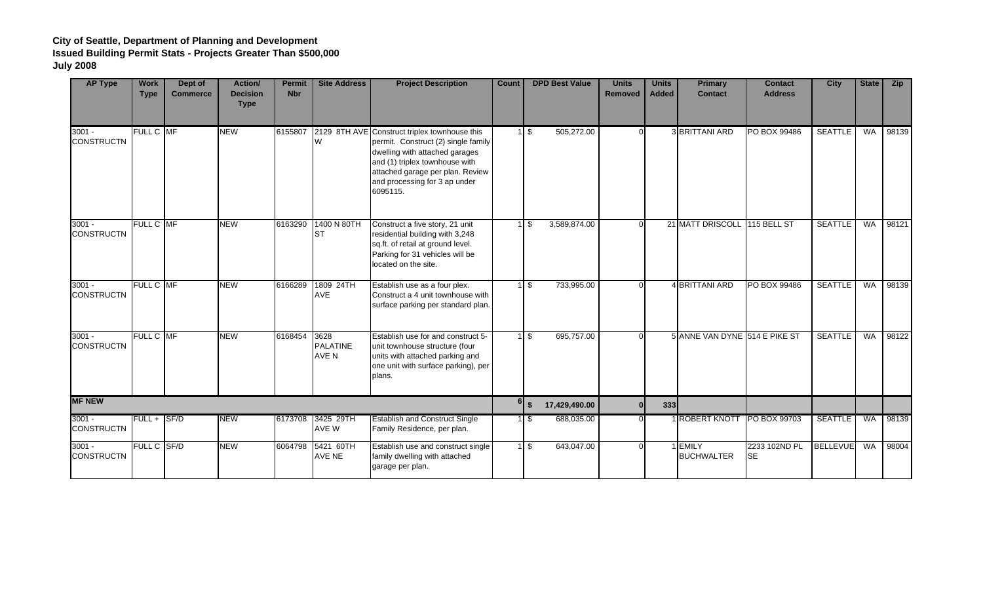| <b>AP Type</b>                | <b>Work</b><br><b>Type</b> | Dept of<br><b>Commerce</b> | Action/<br><b>Decision</b><br><b>Type</b> | <b>Permit</b><br><b>Nbr</b> | <b>Site Address</b>              | <b>Project Description</b>                                                                                                                                                                                                                | Count | <b>DPD Best Value</b>            | <b>Units</b><br>Removed | <b>Units</b><br><b>Added</b> | <b>Primary</b><br><b>Contact</b> | <b>Contact</b><br><b>Address</b> | <b>City</b>     | <b>State</b> | <b>Zip</b> |
|-------------------------------|----------------------------|----------------------------|-------------------------------------------|-----------------------------|----------------------------------|-------------------------------------------------------------------------------------------------------------------------------------------------------------------------------------------------------------------------------------------|-------|----------------------------------|-------------------------|------------------------------|----------------------------------|----------------------------------|-----------------|--------------|------------|
| $3001 -$<br><b>CONSTRUCTN</b> | FULL C MF                  |                            | <b>NEW</b>                                | 6155807                     | W                                | 2129 8TH AVE Construct triplex townhouse this<br>permit. Construct (2) single family<br>dwelling with attached garages<br>and (1) triplex townhouse with<br>attached garage per plan. Review<br>and processing for 3 ap under<br>6095115. |       | $1 \text{ }$ \$<br>505,272.00    | $\Omega$                |                              | 3 BRITTANI ARD                   | PO BOX 99486                     | <b>SEATTLE</b>  | <b>WA</b>    | 98139      |
| $3001 -$<br><b>CONSTRUCTN</b> | <b>FULL C MF</b>           |                            | <b>NEW</b>                                | 6163290                     | 1400 N 80TH<br>Ist               | Construct a five story, 21 unit<br>residential building with 3,248<br>sq.ft. of retail at ground level.<br>Parking for 31 vehicles will be<br>located on the site.                                                                        |       | 3,589,874.00<br>$1 \text{ s}$    | $\Omega$                |                              | 21 MATT DRISCOLL 115 BELL ST     |                                  | <b>SEATTLE</b>  | <b>WA</b>    | 98121      |
| $3001 -$<br><b>CONSTRUCTN</b> | FULL C MF                  |                            | <b>NEW</b>                                | 6166289                     | 1809 24TH<br>AVE                 | Establish use as a four plex.<br>Construct a 4 unit townhouse with<br>surface parking per standard plan.                                                                                                                                  |       | 1 \$<br>733,995.00               | $\Omega$                |                              | 4 BRITTANI ARD                   | <b>PO BOX 99486</b>              | <b>SEATTLE</b>  | <b>WA</b>    | 98139      |
| $3001 -$<br><b>CONSTRUCTN</b> | FULL C MF                  |                            | <b>NEW</b>                                | 6168454                     | 3628<br><b>PALATINE</b><br>AVE N | Establish use for and construct 5-<br>unit townhouse structure (four<br>units with attached parking and<br>one unit with surface parking), per<br>plans.                                                                                  |       | $1 \text{ }$ \$<br>695,757.00    | $\Omega$                |                              | 5 ANNE VAN DYNE 514 E PIKE ST    |                                  | <b>SEATTLE</b>  | <b>WA</b>    | 98122      |
| <b>MF NEW</b>                 |                            |                            |                                           |                             |                                  |                                                                                                                                                                                                                                           |       | $6 \frac{1}{3}$<br>17,429,490.00 | $\Omega$                | 333                          |                                  |                                  |                 |              |            |
| $3001 -$<br><b>CONSTRUCTN</b> | $FULL +  S F/D$            |                            | <b>NEW</b>                                | 6173708                     | 3425 29TH<br>AVE W               | <b>Establish and Construct Single</b><br>Family Residence, per plan.                                                                                                                                                                      |       | $1 \text{ }$ \$<br>688,035.00    | $\Omega$                |                              | 1 ROBERT KNOTT PO BOX 99703      |                                  | <b>SEATTLE</b>  | <b>WA</b>    | 98139      |
| $3001 -$<br><b>CONSTRUCTN</b> | FULL C SF/D                |                            | <b>NEW</b>                                |                             | 6064798 5421 60TH<br>AVE NE      | Establish use and construct single<br>family dwelling with attached<br>garage per plan.                                                                                                                                                   |       | $1\sqrt{3}$<br>643,047.00        | $\Omega$                |                              | 1 EMILY<br><b>BUCHWALTER</b>     | 2233 102ND PL<br>lse.            | <b>BELLEVUE</b> | <b>WA</b>    | 98004      |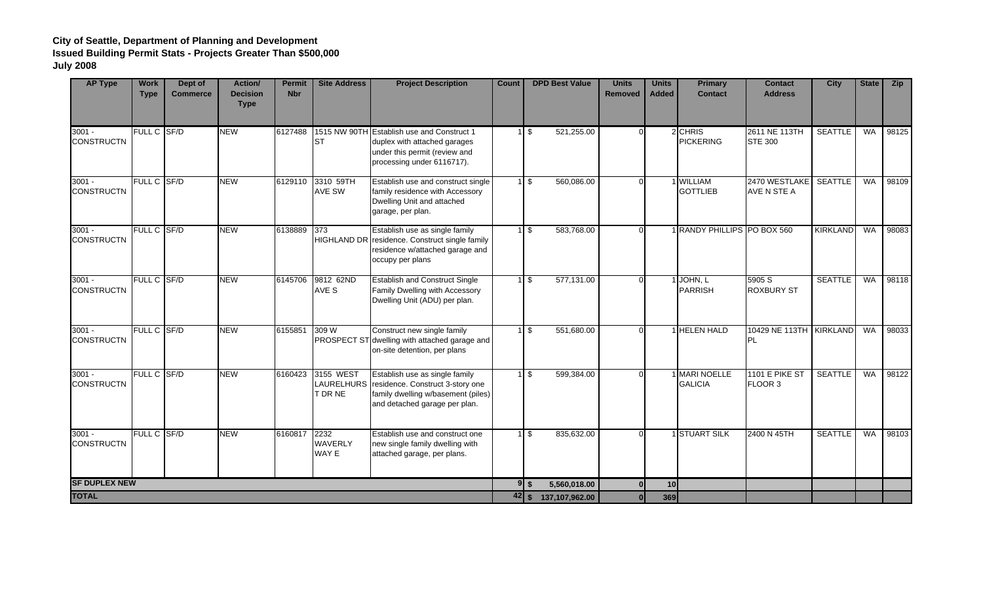| <b>AP Type</b>                | <b>Work</b><br><b>Type</b> | Dept of<br><b>Commerce</b> | <b>Action/</b><br><b>Decision</b><br><b>Type</b> | <b>Permit</b><br><b>Nbr</b> | <b>Site Address</b>             | <b>Project Description</b>                                                                                                                           | Count                      | <b>DPD Best Value</b>         | <b>Units</b><br><b>Removed</b> | <b>Units</b><br><b>Added</b> | <b>Primary</b><br><b>Contact</b> | <b>Contact</b><br><b>Address</b>       | <b>City</b>     | <b>State</b> | <b>Zip</b> |
|-------------------------------|----------------------------|----------------------------|--------------------------------------------------|-----------------------------|---------------------------------|------------------------------------------------------------------------------------------------------------------------------------------------------|----------------------------|-------------------------------|--------------------------------|------------------------------|----------------------------------|----------------------------------------|-----------------|--------------|------------|
| $3001 -$<br><b>CONSTRUCTN</b> | FULL C SF/D                |                            | <b>NEW</b>                                       | 6127488                     | Ist                             | 1515 NW 90TH Establish use and Construct 1<br>duplex with attached garages<br>under this permit (review and<br>processing under 6116717).            |                            | $1 \sqrt$<br>521,255.00       |                                |                              | 2 CHRIS<br><b>PICKERING</b>      | 2611 NE 113TH<br><b>STE 300</b>        | <b>SEATTLE</b>  | WA           | 98125      |
| $3001 -$<br><b>CONSTRUCTN</b> | FULL C SF/D                |                            | <b>NEW</b>                                       |                             | 6129110 3310 59TH<br>AVE SW     | Establish use and construct single<br>family residence with Accessory<br>Dwelling Unit and attached<br>garage, per plan.                             |                            | 560,086.00<br>1 <sup>5</sup>  |                                |                              | 1 WILLIAM<br><b>GOTTLIEB</b>     | 2470 WESTLAKE   SEATTLE<br>AVE N STE A |                 | WA           | 98109      |
| $3001 -$<br><b>CONSTRUCTN</b> | FULL C SF/D                |                            | <b>NEW</b>                                       | 6138889                     | 373                             | Establish use as single family<br>HIGHLAND DR residence. Construct single family<br>residence w/attached garage and<br>occupy per plans              |                            | 583,768.00<br>$1\sqrt{3}$     |                                |                              | 1 RANDY PHILLIPS PO BOX 560      |                                        | <b>KIRKLAND</b> | <b>WA</b>    | 98083      |
| $3001 -$<br><b>CONSTRUCTN</b> | FULL C SF/D                |                            | <b>NEW</b>                                       | 6145706                     | 9812 62ND<br>AVE S              | <b>Establish and Construct Single</b><br>Family Dwelling with Accessory<br>Dwelling Unit (ADU) per plan.                                             |                            | 577,131.00<br>$1$ \$          |                                |                              | JOHN, L<br><b>PARRISH</b>        | 5905 S<br><b>ROXBURY ST</b>            | <b>SEATTLE</b>  | <b>WA</b>    | 98118      |
| $3001 -$<br><b>CONSTRUCTN</b> | FULL C SF/D                |                            | <b>NEW</b>                                       | 6155851                     | 309 W                           | Construct new single family<br>PROSPECT ST dwelling with attached garage and<br>on-site detention, per plans                                         |                            | 551,680.00<br>1 \$            |                                |                              | 1 HELEN HALD                     | 10429 NE 113TH KIRKLAND<br>PL          |                 | <b>WA</b>    | 98033      |
| $3001 -$<br><b>CONSTRUCTN</b> | FULL C SF/D                |                            | <b>NEW</b>                                       | 6160423                     | 3155 WEST<br>T DR NE            | Establish use as single family<br>LAURELHURS residence. Construct 3-story one<br>family dwelling w/basement (piles)<br>and detached garage per plan. |                            | $1 \text{ }$ \$<br>599,384.00 |                                |                              | 1 MARI NOELLE<br><b>GALICIA</b>  | 1101 E PIKE ST<br>FLOOR 3              | <b>SEATTLE</b>  | <b>WA</b>    | 98122      |
| $3001 -$<br><b>CONSTRUCTN</b> | FULL C SF/D                |                            | <b>NEW</b>                                       | 6160817                     | 2232<br><b>WAVERLY</b><br>WAY E | Establish use and construct one<br>new single family dwelling with<br>attached garage, per plans.                                                    |                            | 1 \$<br>835,632.00            |                                |                              | 1 STUART SILK                    | 2400 N 45TH                            | <b>SEATTLE</b>  | <b>WA</b>    | 98103      |
| <b>SF DUPLEX NEW</b>          |                            |                            |                                                  |                             |                                 |                                                                                                                                                      |                            | $9$ s<br>5,560,018.00         | 0 <sup>l</sup>                 | 10                           |                                  |                                        |                 |              |            |
| <b>TOTAL</b>                  |                            |                            |                                                  |                             |                                 |                                                                                                                                                      | $42 \mid \frac{2}{3} \mid$ | 137,107,962.00                |                                | 369                          |                                  |                                        |                 |              |            |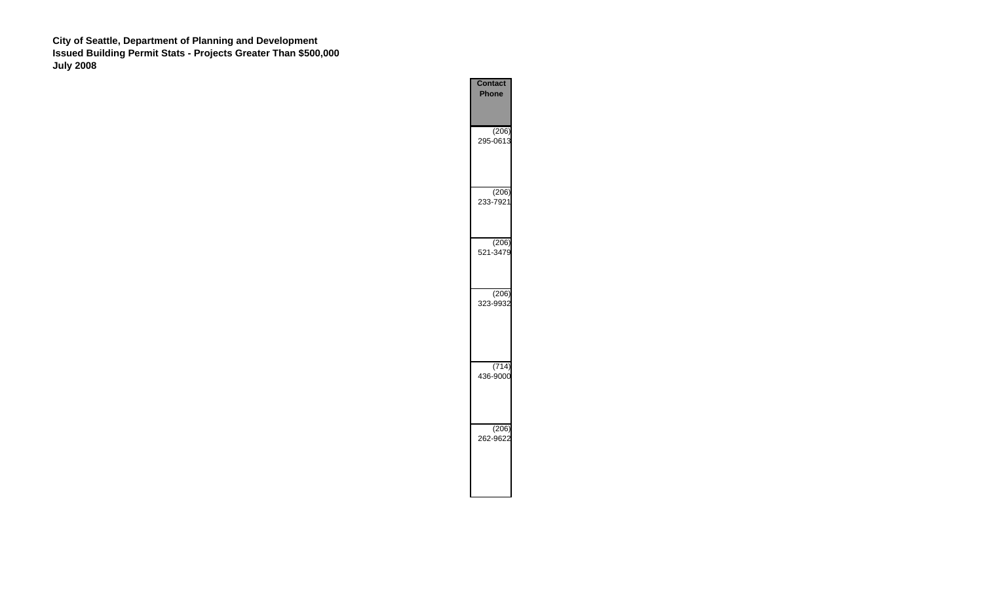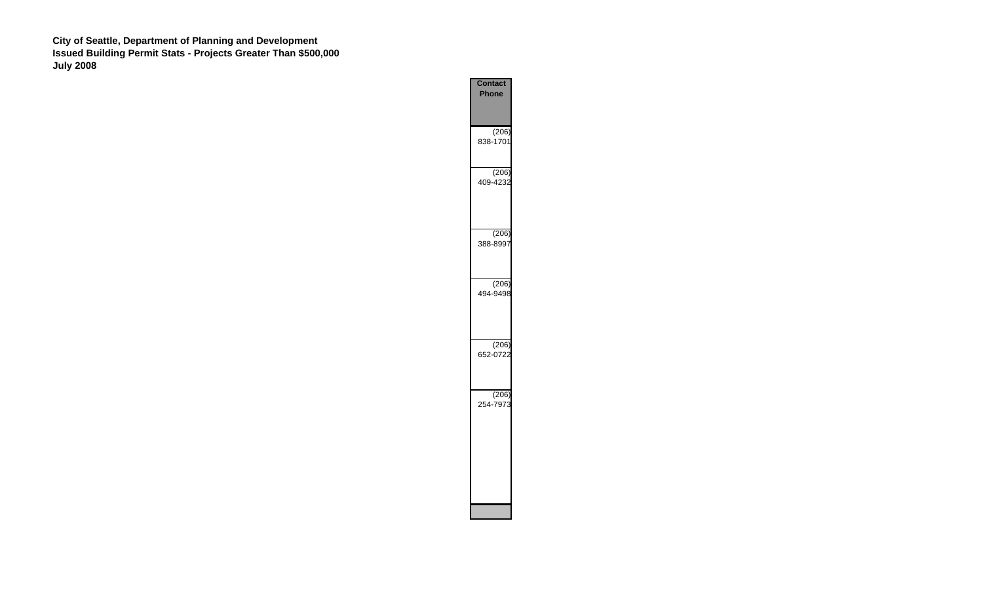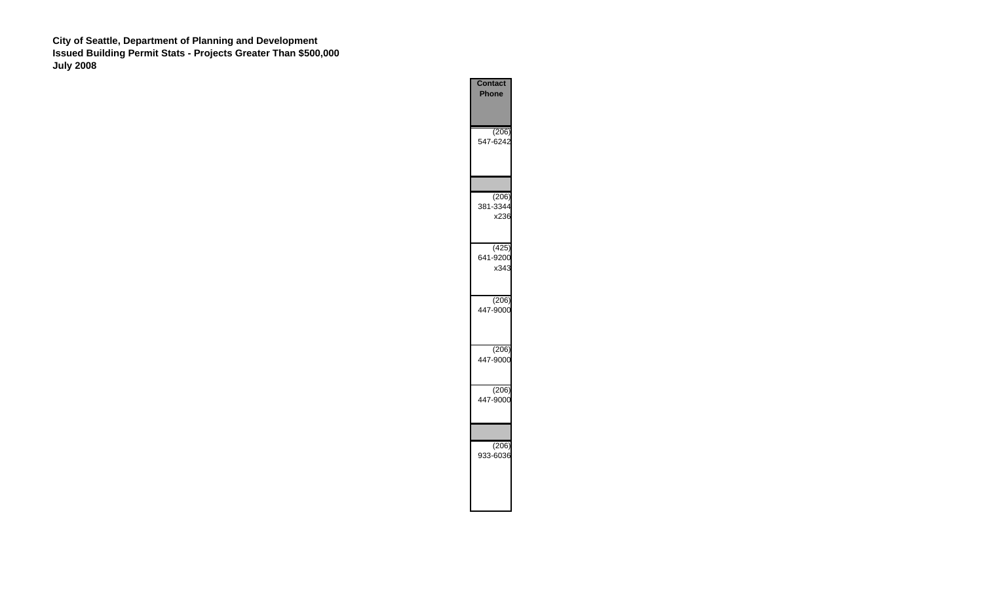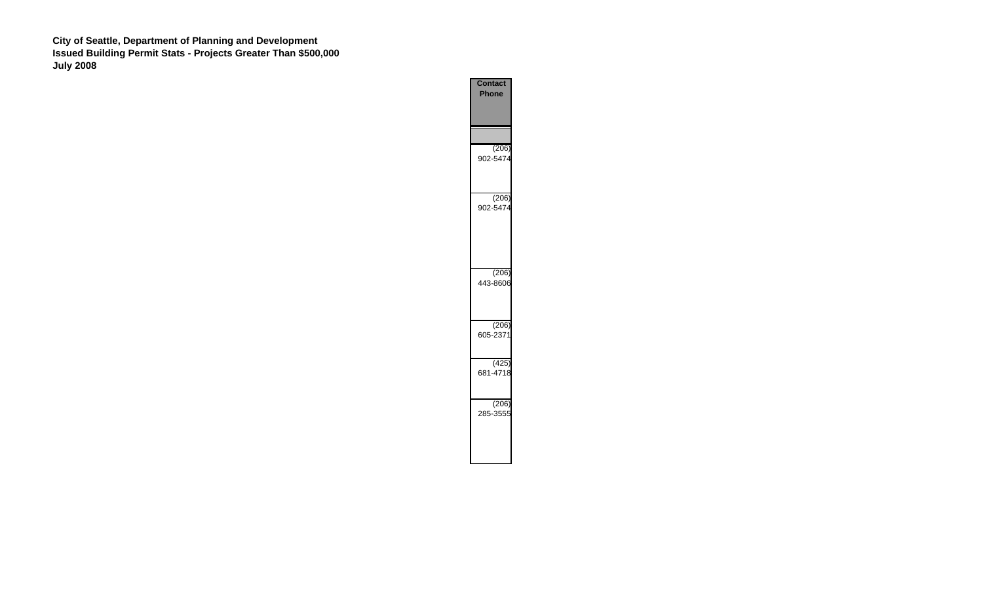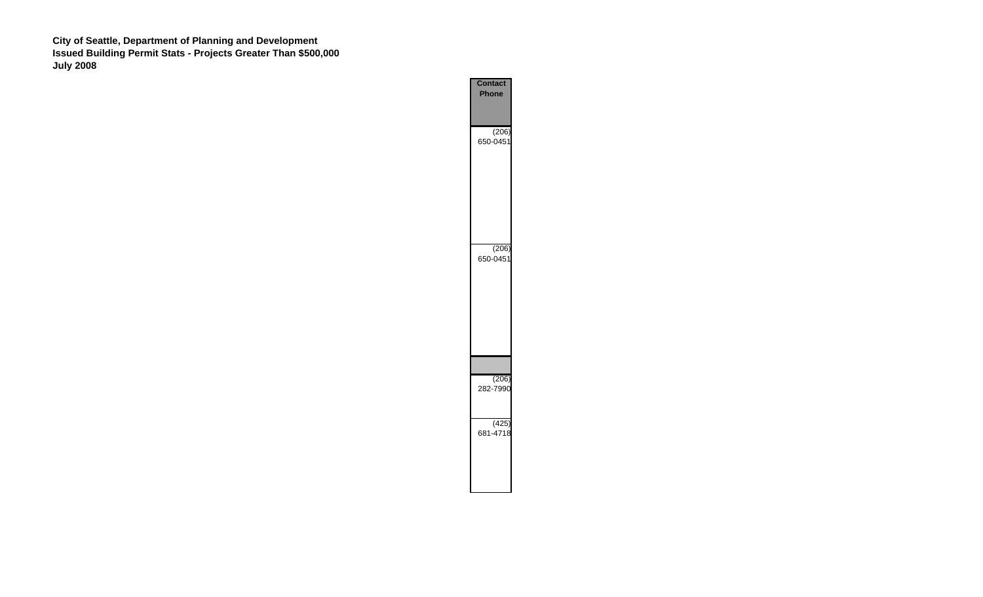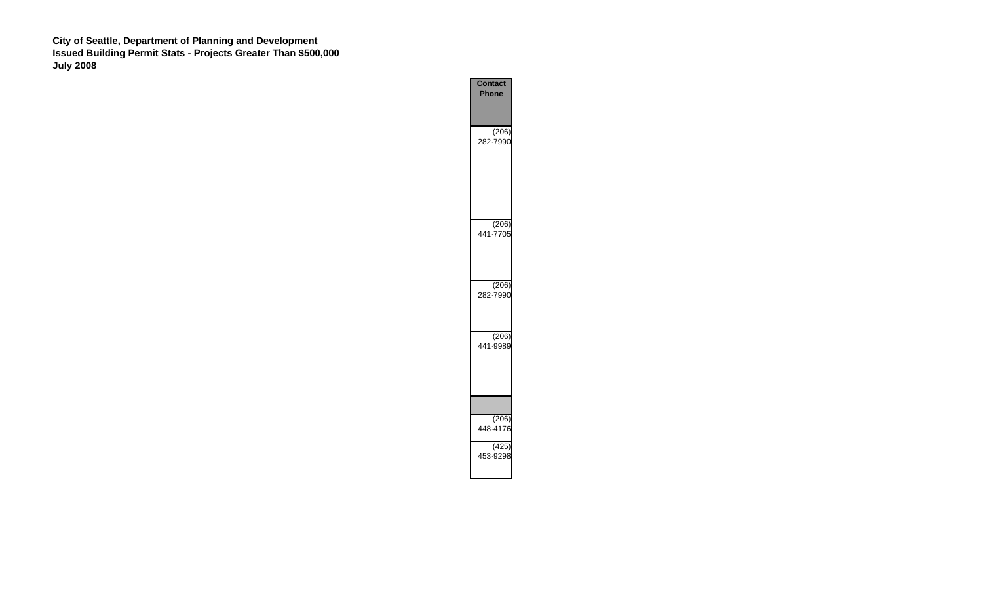